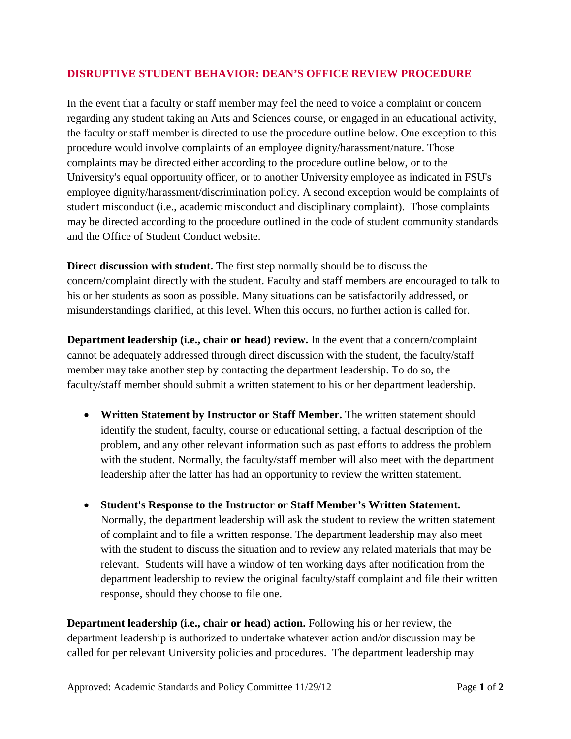## **DISRUPTIVE STUDENT BEHAVIOR: DEAN'S OFFICE REVIEW PROCEDURE**

In the event that a faculty or staff member may feel the need to voice a complaint or concern regarding any student taking an Arts and Sciences course, or engaged in an educational activity, the faculty or staff member is directed to use the procedure outline below. One exception to this procedure would involve complaints of an employee dignity/harassment/nature. Those complaints may be directed either according to the procedure outline below, or to the University's equal opportunity officer, or to another University employee as indicated in FSU's employee dignity/harassment/discrimination policy. A second exception would be complaints of student misconduct (i.e., academic misconduct and disciplinary complaint). Those complaints may be directed according to the procedure outlined in the code of student community standards and the Office of Student Conduct website.

**Direct discussion with student.** The first step normally should be to discuss the concern/complaint directly with the student. Faculty and staff members are encouraged to talk to his or her students as soon as possible. Many situations can be satisfactorily addressed, or misunderstandings clarified, at this level. When this occurs, no further action is called for.

**Department leadership (i.e., chair or head) review.** In the event that a concern/complaint cannot be adequately addressed through direct discussion with the student, the faculty/staff member may take another step by contacting the department leadership. To do so, the faculty/staff member should submit a written statement to his or her department leadership.

- **Written Statement by Instructor or Staff Member.** The written statement should identify the student, faculty, course or educational setting, a factual description of the problem, and any other relevant information such as past efforts to address the problem with the student. Normally, the faculty/staff member will also meet with the department leadership after the latter has had an opportunity to review the written statement.
- **Student's Response to the Instructor or Staff Member's Written Statement.**  Normally, the department leadership will ask the student to review the written statement of complaint and to file a written response. The department leadership may also meet with the student to discuss the situation and to review any related materials that may be relevant. Students will have a window of ten working days after notification from the department leadership to review the original faculty/staff complaint and file their written response, should they choose to file one.

**Department leadership (i.e., chair or head) action.** Following his or her review, the department leadership is authorized to undertake whatever action and/or discussion may be called for per relevant University policies and procedures. The department leadership may